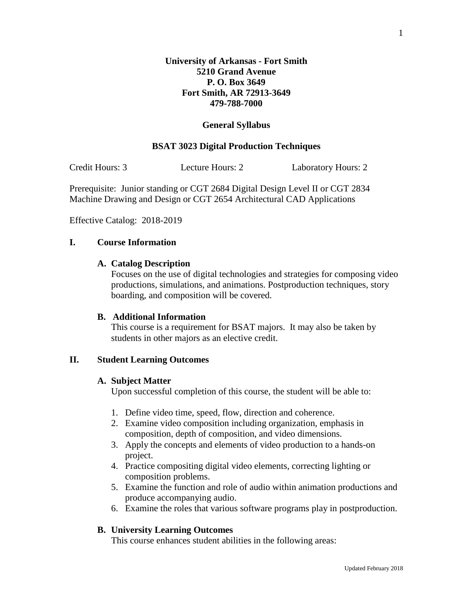#### **General Syllabus**

#### **BSAT 3023 Digital Production Techniques**

Credit Hours: 3 Lecture Hours: 2 Laboratory Hours: 2

Prerequisite: Junior standing or CGT 2684 Digital Design Level II or CGT 2834 Machine Drawing and Design or CGT 2654 Architectural CAD Applications

Effective Catalog: 2018-2019

## **I. Course Information**

#### **A. Catalog Description**

Focuses on the use of digital technologies and strategies for composing video productions, simulations, and animations. Postproduction techniques, story boarding, and composition will be covered.

## **B. Additional Information**

This course is a requirement for BSAT majors. It may also be taken by students in other majors as an elective credit.

#### **II. Student Learning Outcomes**

## **A. Subject Matter**

Upon successful completion of this course, the student will be able to:

- 1. Define video time, speed, flow, direction and coherence.
- 2. Examine video composition including organization, emphasis in composition, depth of composition, and video dimensions.
- 3. Apply the concepts and elements of video production to a hands-on project.
- 4. Practice compositing digital video elements, correcting lighting or composition problems.
- 5. Examine the function and role of audio within animation productions and produce accompanying audio.
- 6. Examine the roles that various software programs play in postproduction.

#### **B. University Learning Outcomes**

This course enhances student abilities in the following areas: